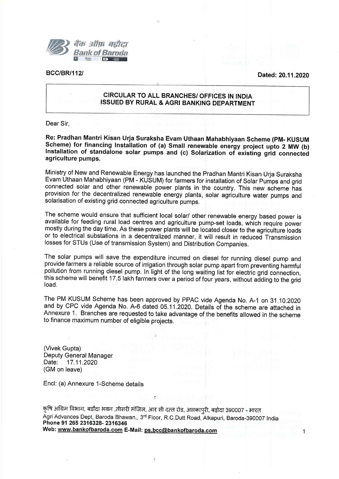

BCC/BR/112l Dated: 20.11.2020

## CIRCULAR TO ALL BRANCHES/ OFFICES IN INDIA **ISSUED BY RURAL & AGRI BANKING DEPARTMENT**

Dear Sir,

Re: Pradhan Mantri Kisan Urja Suraksha Evam Uthaan Mahabhiyaan Scheme (PM- KUSUM<br>Scheme) for financing Installation of (a) Small renewable energy project upto 2 MW (b) Installation of standalone solar pumps and (c) Solarization of existing grid connected agriculture pumps.

Ministry of New and Renewable Energy has launched the Pradhan Mantri Kisan Urja Suraksha Evam Uthaan Mahabhiyaan (PM - KUSUM) for farmers for installation of Solar pumps and grid connected solar and other renewable power plants in the country. This new scheme has provision for the decentralized renewable energy plants, solar agriculture water pumps and solarisation of existing grid connected agriculture pumps.

The scheme would ensure that sufficient local solar/ other renewable energy based power is available for feeding rural load centres and agriculture pump-set loads, which require power mostly during the day time. As these power plants will be located closer to the agriculture'loads or to electrical substations in a decentralized manner, it will result in reduced- Transmission losses for STUs (Use of transmission System) and Distribution Companies,

The solar pumps will save the expenditure incurred on diesel for running diesel pump and provide farmers a reliable source of irrigation through solar pump apart from-preventing harmful pollution from running diesel pump. In light of the long waiting list for electric grid connection, this scheme will benefit 17.5 lakh farmers over a period of four years, without adding to the grid load.

The PM KUSUM Scheme has been approved by PPAC vide Agenda No. A-1 on 31 10.2020 and by CPC vide Agenda No. A-6 dated 05.11.2020. Details of the scheme are attached in Annexure 1. Branches are requested to take advantage of the benefits allowed in the scheme to finance maximum number of eligible projects.

(Vivek Gupta) Deputy General Manager Date: 17.11.2020 (GM on leave)

Encl: (a) Annexure 1-Scheme details

कृषि अग्रिम विभाग, बडौदा भवन ,तीसरी मंजिल, आर सी दत्त रोड, अलकापुरी, बड़ोदा 390007 - भारत Agri Advances Dept, Baroda Bhawan,, 3<sup>rd</sup> Floor, R.C.Dutt Road, Alkapuri, Baroda-390007 India Phone 91 265 2316328-2316346 Web: www.bankofbaroda.com E-Mail: ps.bcc@bankofbaroda.com

 $\mathbf{1}$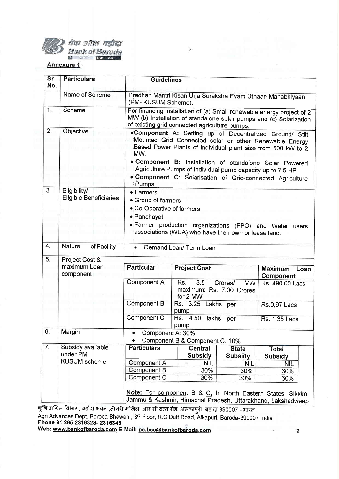

## बैंक ऑफ़ बड़ौदा<br>Bank of Baroda

## Annexure 1:

| Sr<br>No.        | <b>Particulars</b>                               | <b>Guidelines</b>                                                                                                                                                                                                                                                                                                                                                               |                                                                            |                                |                                                                                                                            |
|------------------|--------------------------------------------------|---------------------------------------------------------------------------------------------------------------------------------------------------------------------------------------------------------------------------------------------------------------------------------------------------------------------------------------------------------------------------------|----------------------------------------------------------------------------|--------------------------------|----------------------------------------------------------------------------------------------------------------------------|
|                  | Name of Scheme                                   | (PM- KUSUM Scheme).                                                                                                                                                                                                                                                                                                                                                             |                                                                            |                                | Pradhan Mantri Kisan Urja Suraksha Evam Uthaan Mahabhiyaan                                                                 |
| 1.               | Scheme                                           | For financing Installation of (a) Small renewable energy project of 2<br>MW (b) Installation of standalone solar pumps and (c) Solarization<br>of existing grid connected agriculture pumps.                                                                                                                                                                                    |                                                                            |                                |                                                                                                                            |
| 2.               | Objective                                        | .Component A: Setting up of Decentralized Ground/ Stilt<br>Mounted Grid Connected solar or other Renewable Energy<br>Based Power Plants of individual plant size from 500 kW to 2<br>MW.<br>. Component B: Installation of standalone Solar Powered<br>Agriculture Pumps of individual pump capacity up to 7.5 HP.<br>. Component C: Solarisation of Grid-connected Agriculture |                                                                            |                                |                                                                                                                            |
| $\overline{3}$ . | Eligibility/<br><b>Eligible Beneficiaries</b>    | Pumps.<br>• Farmers<br>• Group of farmers<br>• Co-Operative of farmers<br>• Panchayat<br>· Farmer production organizations (FPO) and Water users<br>associations (WUA) who have their own or lease land.                                                                                                                                                                        |                                                                            |                                |                                                                                                                            |
| 4.               | Nature<br>of Facility                            | Demand Loan/ Term Loan                                                                                                                                                                                                                                                                                                                                                          |                                                                            |                                |                                                                                                                            |
| 5.               | Project Cost &<br>maximum Loan<br>component      | <b>Particular</b>                                                                                                                                                                                                                                                                                                                                                               | <b>Project Cost</b>                                                        |                                | <b>Maximum</b><br>Loan<br>Component                                                                                        |
|                  |                                                  | Component A                                                                                                                                                                                                                                                                                                                                                                     | 3.5<br>Rs.<br>Crores/<br><b>MW</b><br>maximum: Rs. 7.00 Crores<br>for 2 MW |                                | Rs. 490.00 Lacs                                                                                                            |
|                  | <b>Component B</b><br>Rs. 3.25 Lakhs per<br>pump |                                                                                                                                                                                                                                                                                                                                                                                 |                                                                            | <b>Rs.0.97 Lacs</b>            |                                                                                                                            |
|                  |                                                  | Component C                                                                                                                                                                                                                                                                                                                                                                     | Rs. 4.50<br>lakhs<br>pump                                                  | per                            | <b>Rs. 1.35 Lacs</b>                                                                                                       |
| 6.               | Margin                                           | Component A: 30%<br>Component B & Component C: 10%                                                                                                                                                                                                                                                                                                                              |                                                                            |                                |                                                                                                                            |
| $\overline{7}$ . | Subsidy available<br>under PM                    | <b>Particulars</b>                                                                                                                                                                                                                                                                                                                                                              | <b>Central</b><br>Subsidy                                                  | <b>State</b><br><b>Subsidy</b> | Total<br>Subsidy                                                                                                           |
|                  | <b>KUSUM</b> scheme                              | Component A                                                                                                                                                                                                                                                                                                                                                                     | <b>NIL</b>                                                                 | <b>NIL</b>                     | <b>NIL</b>                                                                                                                 |
|                  |                                                  | Component B                                                                                                                                                                                                                                                                                                                                                                     | 30%                                                                        | 30%                            | 60%                                                                                                                        |
|                  |                                                  | Component C                                                                                                                                                                                                                                                                                                                                                                     | 30%                                                                        | 30%                            | 60%                                                                                                                        |
|                  |                                                  |                                                                                                                                                                                                                                                                                                                                                                                 |                                                                            |                                | Note: For component B & C, In North Eastern States, Sikkim,<br>Jammu & Kashmir, Himachal Pradesh, Uttarakhand, Lakshadweep |

 $\mathbf{c}$ 

कृषि अग्रिम विभाग, बडौदा भवन ,तीसरी मंजिल, आर सी दत्त्त रोड, अलकापुरी, बड़ोदा 390007 - भारत

Agri Advances Dept, Baroda Bhawan,, 3<sup>rd</sup> Floor, R.C.Dutt Road, Alkapuri, Baroda-390007 India Phone 91 265 2316328- 2316346

www.bankofbaroda.com E-Mail: ps.bcc@bankofbaroda.com

 $\overline{c}$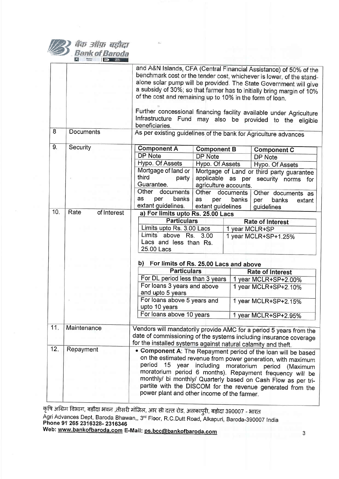|     | बैंक ऑफ़ बड़ोदा<br>Bank of Baroda |                                                                                                                                                                                                                                                                                                                                                                                                                                                                                                       |                                                                           |                    |                                                                                                                                                                                                                                                                                                                                                                                                                            |
|-----|-----------------------------------|-------------------------------------------------------------------------------------------------------------------------------------------------------------------------------------------------------------------------------------------------------------------------------------------------------------------------------------------------------------------------------------------------------------------------------------------------------------------------------------------------------|---------------------------------------------------------------------------|--------------------|----------------------------------------------------------------------------------------------------------------------------------------------------------------------------------------------------------------------------------------------------------------------------------------------------------------------------------------------------------------------------------------------------------------------------|
|     |                                   | of the cost and remaining up to 10% in the form of loan.<br>beneficiaries.                                                                                                                                                                                                                                                                                                                                                                                                                            |                                                                           |                    | and A&N Islands, CFA (Central Financial Assistance) of 50% of the<br>benchmark cost or the tender cost, whichever is lower, of the stand-<br>alone solar pump will be provided. The State Government will give<br>a subsidy of 30%; so that farmer has to initially bring margin of 10%<br>Further concessional financing facility available under Agriculture<br>Infrastructure Fund may also be provided to the eligible |
| 8   | Documents                         | As per existing guidelines of the bank for Agriculture advances                                                                                                                                                                                                                                                                                                                                                                                                                                       |                                                                           |                    |                                                                                                                                                                                                                                                                                                                                                                                                                            |
| 9.  | Security                          | <b>Component A</b><br><b>DP Note</b><br>Hypo. Of Assets<br>Mortgage of land or<br>third<br>party<br>Guarantee.                                                                                                                                                                                                                                                                                                                                                                                        | <b>Component B</b><br>DP Note<br>Hypo. Of Assets<br>agriculture accounts. |                    | <b>Component C</b><br><b>DP Note</b><br>Hypo. Of Assets<br>Mortgage of Land or third party guarantee<br>applicable as per security norms<br>for                                                                                                                                                                                                                                                                            |
|     |                                   | Other<br>documents<br>as<br>per<br>banks<br>extant guidelines.                                                                                                                                                                                                                                                                                                                                                                                                                                        | Other<br>as<br>per<br>extant guidelines                                   | documents<br>banks | Other documents as<br>banks<br>per<br>extant<br>guidelines                                                                                                                                                                                                                                                                                                                                                                 |
| 10. | Rate<br>of Interest               | a) For limits upto Rs. 25.00 Lacs<br><b>Particulars</b><br><b>Rate of Interest</b><br>Limits upto Rs. 3.00 Lacs<br>1 year MCLR+SP<br>Limits <sup>'</sup> above Rs.<br>3.00<br>1 year MCLR+SP+1.25%<br>Lacs and less than Rs.<br>25.00 Lacs                                                                                                                                                                                                                                                            |                                                                           |                    |                                                                                                                                                                                                                                                                                                                                                                                                                            |
|     |                                   | For limits of Rs. 25,00 Lacs and above<br>b)<br><b>Particulars</b><br>For DL period less than 3 years<br>For loans 3 years and above<br>and upto 5 years<br>For loans above 5 years and<br>upto 10 years<br>For loans above 10 years                                                                                                                                                                                                                                                                  |                                                                           |                    | <b>Rate of Interest</b><br>1 year MCLR+SP+2.00%<br>1 year MCLR+SP+2.10%<br>1 year MCLR+SP+2.15%<br>1 year MCLR+SP+2.95%                                                                                                                                                                                                                                                                                                    |
| 11. | Maintenance                       | Vendors will mandatorily provide AMC for a period 5 years from the<br>date of commissioning of the systems including insurance coverage                                                                                                                                                                                                                                                                                                                                                               |                                                                           |                    |                                                                                                                                                                                                                                                                                                                                                                                                                            |
| 12. | Repayment                         | for the installed systems against natural calamity and theft.<br>• Component A: The Repayment period of the loan will be based<br>on the estimated revenue from power generation, with maximum<br>period<br>15 year including moratorium<br>period (Maximum<br>moratorium period 6 months). Repayment frequency will be<br>monthly/ bi monthly/ Quarterly based on Cash Flow as per tri-<br>partite with the DISCOM for the revenue generated from the<br>power plant and other income of the farmer. |                                                                           |                    |                                                                                                                                                                                                                                                                                                                                                                                                                            |

कृषि अग्रिम विभाग, बडौदा भवन ,तीसरी मंजिल, आर सी दत्त रोड, अलकापुरी, बड़ोदा 390007 - भारत

Agri Advances Dept, Baroda Bhawan,, 3<sup>rd</sup> Floor, R.C.Dutt Road, Alkapuri, Baroda-390007 India<br>**Phone 91 265 2316328- 2316346** 

Web: <u>www.bankofbaroda.com</u> E-Mail: <u>ps.bcc@bankofbaroda.com</u>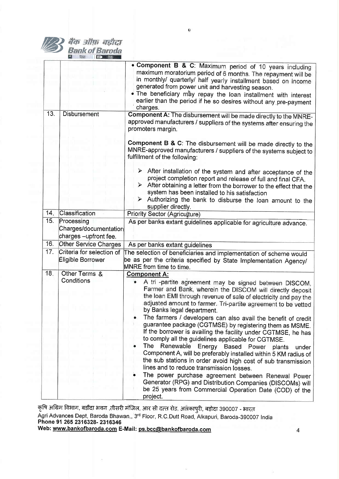|     |                                                              | o                                                                                                                                                                                                                                                                                                                                                                                                                                                                                                                                                                                                                                                                                                                                                                                                                                                                                                                                                                                                          |
|-----|--------------------------------------------------------------|------------------------------------------------------------------------------------------------------------------------------------------------------------------------------------------------------------------------------------------------------------------------------------------------------------------------------------------------------------------------------------------------------------------------------------------------------------------------------------------------------------------------------------------------------------------------------------------------------------------------------------------------------------------------------------------------------------------------------------------------------------------------------------------------------------------------------------------------------------------------------------------------------------------------------------------------------------------------------------------------------------|
|     | बैंक ऑफ़ बड़ीदा<br>Bank of Baroda                            |                                                                                                                                                                                                                                                                                                                                                                                                                                                                                                                                                                                                                                                                                                                                                                                                                                                                                                                                                                                                            |
|     |                                                              | • Component B & C: Maximum period of 10 years including<br>maximum moratorium period of 6 months. The repayment will be<br>in monthly/ quarterly/ half yearly installment based on income<br>generated from power unit and harvesting season.<br>. The beneficiary may repay the loan installment with interest<br>earlier than the period if he so desires without any pre-payment<br>charges.                                                                                                                                                                                                                                                                                                                                                                                                                                                                                                                                                                                                            |
| 13. | <b>Disbursement</b>                                          | Component A: The disbursement will be made directly to the MNRE-<br>approved manufacturers / suppliers of the systems after ensuring the<br>promoters margin.                                                                                                                                                                                                                                                                                                                                                                                                                                                                                                                                                                                                                                                                                                                                                                                                                                              |
|     |                                                              | Component B & C: The disbursement will be made directly to the<br>MNRE-approved manufacturers / suppliers of the systems subject to<br>fulfillment of the following:                                                                                                                                                                                                                                                                                                                                                                                                                                                                                                                                                                                                                                                                                                                                                                                                                                       |
|     |                                                              | $\triangleright$ After installation of the system and after acceptance of the<br>project completion report and release of full and final CFA.<br>$\triangleright$ After obtaining a letter from the borrower to the effect that the<br>system has been installed to his satisfaction<br>$\triangleright$ Authorizing the bank to disburse the loan amount to the<br>supplier directly.                                                                                                                                                                                                                                                                                                                                                                                                                                                                                                                                                                                                                     |
| 14. | Classification                                               | <b>Priority Sector (Agriculture)</b>                                                                                                                                                                                                                                                                                                                                                                                                                                                                                                                                                                                                                                                                                                                                                                                                                                                                                                                                                                       |
| 15. | Processing<br>Charges/documentation<br>charges -upfront fee. | As per banks extant guidelines applicable for agriculture advance.                                                                                                                                                                                                                                                                                                                                                                                                                                                                                                                                                                                                                                                                                                                                                                                                                                                                                                                                         |
| 16. | Other Service Charges                                        | As per banks extant guidelines                                                                                                                                                                                                                                                                                                                                                                                                                                                                                                                                                                                                                                                                                                                                                                                                                                                                                                                                                                             |
| 17. | Criteria for selection of<br>Eligible Borrower               | The selection of beneficiaries and implementation of scheme would<br>be as per the criteria specified by State Implementation Agency/<br>MNRE from time to time.                                                                                                                                                                                                                                                                                                                                                                                                                                                                                                                                                                                                                                                                                                                                                                                                                                           |
| 18. | Other Terms &<br>Conditions                                  | <b>Component A:</b><br>A tri -partite agreement may be signed between DISCOM,<br>Farmer and Bank, wherein the DISCOM will directly deposit<br>the loan EMI through revenue of sale of electricity and pay the<br>adjusted amount to farmer. Tri-partite agreement to be vetted<br>by Banks legal department.<br>The farmers / developers can also avail the benefit of credit<br>guarantee package (CGTMSE) by registering them as MSME.<br>If the borrower is availing the facility under CGTMSE, he has<br>to comply all the guidelines applicable for CGTMSE.<br>The<br>Renewable<br>Energy<br>Based Power<br>plants<br>under<br>Component A, will be preferably installed within 5 KM radius of<br>the sub stations in order avoid high cost of sub transmission<br>lines and to reduce transmission losses.<br>The power purchase agreement between Renewal Power<br>Generator (RPG) and Distribution Companies (DISCOMs) will<br>be 25 years from Commercial Operation Date (COD) of the<br>project. |

कृषि अग्रिम विभाग, बडौदा भवन ,तीसरी मंजिल, आर सी दत्त रोड, अलँकापुरी, बड़ोदा 390007 - भारत

Agri Advances Dept, Baroda Bhawan,, 3<sup>rd</sup> Floor, R.C.Dutt Road, Alkapuri, Baroda-390007 India Phone 91 265 2316328-2316346

ò.

Web: www.bankofbaroda.com E-Mail: ps.bcc@bankofbaroda.com

 $\alpha$ 

 $\omega$ 

 $\overline{\mathcal{L}}$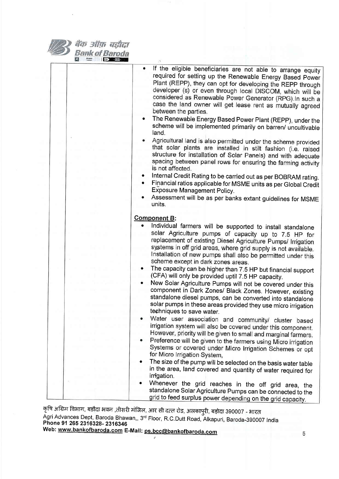

वैंक ऑफ़ बड़ौदा Bank of Baroda

| If the eligible beneficiaries are not able to arrange equity<br>required for setting up the Renewable Energy Based Power<br>Plant (REPP), they can opt for developing the REPP through<br>developer (s) or even through local DISCOM, which will be<br>considered as Renewable Power Generator (RPG). In such a<br>case the land owner will get lease rent as mutually agreed<br>between the parties.<br>The Renewable Energy Based Power Plant (REPP), under the<br>scheme will be implemented primarily on barren/ uncultivable<br>land.<br>Agricultural land is also permitted under the scheme provided<br>that solar plants are installed in stilt fashion (i.e. raised<br>structure for installation of Solar Panels) and with adequate<br>spacing between panel rows for ensuring the farming activity<br>is not affected.<br>Internal Credit Rating to be carried out as per BOBRAM rating.<br>Financial ratios applicable for MSME units as per Global Credit<br>Exposure Management Policy.<br>Assessment will be as per banks extant guidelines for MSME<br>units. |
|-------------------------------------------------------------------------------------------------------------------------------------------------------------------------------------------------------------------------------------------------------------------------------------------------------------------------------------------------------------------------------------------------------------------------------------------------------------------------------------------------------------------------------------------------------------------------------------------------------------------------------------------------------------------------------------------------------------------------------------------------------------------------------------------------------------------------------------------------------------------------------------------------------------------------------------------------------------------------------------------------------------------------------------------------------------------------------|
|                                                                                                                                                                                                                                                                                                                                                                                                                                                                                                                                                                                                                                                                                                                                                                                                                                                                                                                                                                                                                                                                               |
| <b>Component B:</b>                                                                                                                                                                                                                                                                                                                                                                                                                                                                                                                                                                                                                                                                                                                                                                                                                                                                                                                                                                                                                                                           |
| Individual farmers will be supported to install standalone                                                                                                                                                                                                                                                                                                                                                                                                                                                                                                                                                                                                                                                                                                                                                                                                                                                                                                                                                                                                                    |
| solar Agriculture pumps of capacity up to 7.5 HP for<br>replacement of existing Diesel Agriculture Pumps/ Irrigation<br>systems in off grid areas, where grid supply is not available.<br>Installation of new pumps shall also be permitted under this<br>scheme except in dark zones areas.                                                                                                                                                                                                                                                                                                                                                                                                                                                                                                                                                                                                                                                                                                                                                                                  |
| The capacity can be higher than 7.5 HP but financial support<br>٠<br>(CFA) will only be provided uptil 7.5 HP capacity.                                                                                                                                                                                                                                                                                                                                                                                                                                                                                                                                                                                                                                                                                                                                                                                                                                                                                                                                                       |
| New Solar Agriculture Pumps will not be covered under this<br>component in Dark Zones/ Black Zones. However, existing<br>standalone diesel pumps, can be converted into standalone<br>solar pumps in these areas provided they use micro irrigation<br>techniques to save water.                                                                                                                                                                                                                                                                                                                                                                                                                                                                                                                                                                                                                                                                                                                                                                                              |
| Water user association and community/ cluster based<br>irrigation system will also be covered under this component.<br>However, priority will be given to small and marginal farmers.                                                                                                                                                                                                                                                                                                                                                                                                                                                                                                                                                                                                                                                                                                                                                                                                                                                                                         |
| Preference will be given to the farmers using Micro irrigation<br>Systems or covered under Micro Irrigation Schemes or opt<br>for Micro Irrigation System,                                                                                                                                                                                                                                                                                                                                                                                                                                                                                                                                                                                                                                                                                                                                                                                                                                                                                                                    |
| The size of the pump will be selected on the basis water table<br>in the area, land covered and quantity of water required for<br>irrigation.                                                                                                                                                                                                                                                                                                                                                                                                                                                                                                                                                                                                                                                                                                                                                                                                                                                                                                                                 |
| Whenever the grid reaches in the off grid area, the<br>standalone Solar Agriculture Pumps can be connected to the<br>grid to feed surplus power depending on the grid capacity.                                                                                                                                                                                                                                                                                                                                                                                                                                                                                                                                                                                                                                                                                                                                                                                                                                                                                               |

कृषि अग्रिम विभाग, बडौदा भवन ,तीसरी मंजिल, आर सी दत्त्न रोड, अलकापुरी, बड़ोदा 390007 - भारत Agri Advances Dept, Baroda Bhawan,, 3<sup>rd</sup> Floor, R.C.Dutt Road, Alkapuri, Baroda-390007 India<br>**Phone 91 265 2316328- 2316346** Web: <u>www.bankofbaroda.com</u> E-Mail: <u>ps.bcc@bankofbaroda.com</u>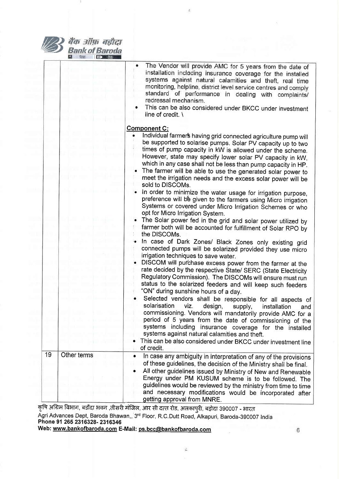

बैंक ऑफ़ बड़ौदा **Bank of Baroda I Fally China** 

и

|    |             | The Vendor will provide AMC for 5 years from the date of<br>installation including insurance coverage for the installed<br>systems against natural calamities and theft, real time<br>monitoring, helpline, district level service centres and comply<br>standard of performance in dealing with complaints/<br>redressal mechanism.<br>This can be also considered under BKCC under investment<br>line of credit. \                                                                                                                                                                                                                                    |
|----|-------------|---------------------------------------------------------------------------------------------------------------------------------------------------------------------------------------------------------------------------------------------------------------------------------------------------------------------------------------------------------------------------------------------------------------------------------------------------------------------------------------------------------------------------------------------------------------------------------------------------------------------------------------------------------|
|    |             | <b>Component C:</b><br>Individual farmer's having grid connected agriculture pump will<br>be supported to solarise pumps. Solar PV capacity up to two<br>times of pump capacity in kW is allowed under the scheme.<br>However, state may specify lower solar PV capacity in kW,<br>which in any case shall not be less than pump capacity in HP.<br>The farmer will be able to use the generated solar power to<br>meet the irrigation needs and the excess solar power will be<br>sold to DISCOMs.                                                                                                                                                     |
|    |             | In order to minimize the water usage for irrigation purpose,<br>preference will bê given to the farmers using Micro irrigation<br>Systems or covered under Micro Irrigation Schemes or who<br>opt for Micro Irrigation System.<br>The Solar power fed in the grid and solar power utilized by<br>farmer both will be accounted for fulfillment of Solar RPO by<br>the DISCOMs.                                                                                                                                                                                                                                                                          |
|    |             | In case of Dark Zones/ Black Zones only existing grid<br>connected pumps will be solarized provided they use micro<br>irrigation techniques to save water.<br>DISCOM will purchase excess power from the farmer at the<br>rate decided by the respective State/ SERC (State Electricity<br>Regulatory Commission). The DISCOMs will ensure must run<br>status to the solarized feeders and will keep such feeders<br>"ON" during sunshine hours of a day.<br>Selected vendors shall be responsible for all aspects of<br>solarisation<br>viz.<br>design,<br>supply,<br>installation<br>and<br>commissioning. Vendors will mandatorily provide AMC for a |
|    |             | period of 5 years from the date of commissioning of the<br>systems including insurance coverage for the installed<br>systems against natural calamities and theft.<br>This can be also considered under BKCC under investment line<br>of credit.                                                                                                                                                                                                                                                                                                                                                                                                        |
| 19 | Other terms | In case any ambiguity in interpretation of any of the provisions<br>$\bullet$<br>of these guidelines, the decision of the Ministry shall be final.<br>All other guidelines issued by Ministry of New and Renewable<br>٠<br>Energy under PM KUSUM scheme is to be followed. The<br>guidelines would be reviewed by the ministry from time to time<br>and necessary modifications would be incorporated after<br>getting approval from MNRE.                                                                                                                                                                                                              |

 $\pmb{k}$ 

 $\overline{\alpha}$ 

कृषि अग्रिम विभाग, बडौदा भवन ,तीसरी मंजिल, आर सी दत्त रोड, अलकापुरी, बड़ोदा 390007 - भारत

Agri Advances Dept, Baroda Bhawan,, 3rd Floor, R.C.Dutt Road, Alkapuri, Baroda-390007 India Phone 91 265 2316328- 2316346

 $\hat{\mathcal{L}}$ 

Web: www.bankofbaroda.com E-Mail: ps.bcc@bankofbaroda.com

6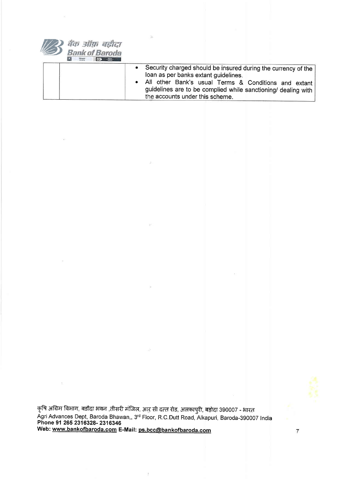

|  | Security charged should be insured during the currency of the<br>loan as per banks extant guidelines.<br>All other Bank's usual Terms & Conditions and extant<br>guidelines are to be complied while sanctioning/ dealing with<br>the accounts under this scheme. |
|--|-------------------------------------------------------------------------------------------------------------------------------------------------------------------------------------------------------------------------------------------------------------------|
|--|-------------------------------------------------------------------------------------------------------------------------------------------------------------------------------------------------------------------------------------------------------------------|

कृषि अग्रिम विभाग, बडौदा भवन ,तीसरी मंजिल, आऱु सी दत्त रोड, अलकापुरी, बड़ोदा 390007 - भारत Agri Advances Dept, Baroda Bhawan,, 3<sup>rd</sup> Floor, R.C.Dutt Road, Alkapuri, Baroda-390007 India Phone 91 265 2316328- 2316346 Web: <u>www.bankofbaroda.com</u> E-Mail: <u>ps.bcc@bankofbaroda.com</u>